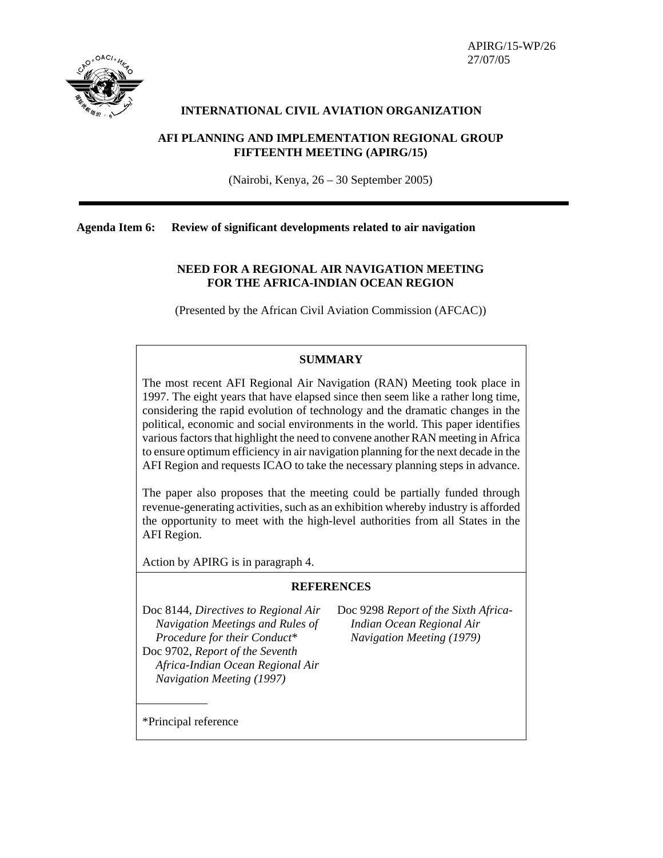

 APIRG/15-WP/26 27/07/05

### **INTERNATIONAL CIVIL AVIATION ORGANIZATION**

## **AFI PLANNING AND IMPLEMENTATION REGIONAL GROUP FIFTEENTH MEETING (APIRG/15)**

(Nairobi, Kenya, 26 – 30 September 2005)

**Agenda Item 6: Review of significant developments related to air navigation** 

## **NEED FOR A REGIONAL AIR NAVIGATION MEETING FOR THE AFRICA-INDIAN OCEAN REGION**

(Presented by the African Civil Aviation Commission (AFCAC))

### **SUMMARY**

The most recent AFI Regional Air Navigation (RAN) Meeting took place in 1997. The eight years that have elapsed since then seem like a rather long time, considering the rapid evolution of technology and the dramatic changes in the political, economic and social environments in the world. This paper identifies various factors that highlight the need to convene another RAN meeting in Africa to ensure optimum efficiency in air navigation planning for the next decade in the AFI Region and requests ICAO to take the necessary planning steps in advance.

The paper also proposes that the meeting could be partially funded through revenue-generating activities, such as an exhibition whereby industry is afforded the opportunity to meet with the high-level authorities from all States in the AFI Region.

Action by APIRG is in paragraph 4.

### **REFERENCES**

Doc 8144, *Directives to Regional Air Navigation Meetings and Rules of Procedure for their Conduct*\* Doc 9702, *Report of the Seventh Africa-Indian Ocean Regional Air Navigation Meeting (1997)*

Doc 9298 *Report of the Sixth Africa-Indian Ocean Regional Air Navigation Meeting (1979)*

\*Principal reference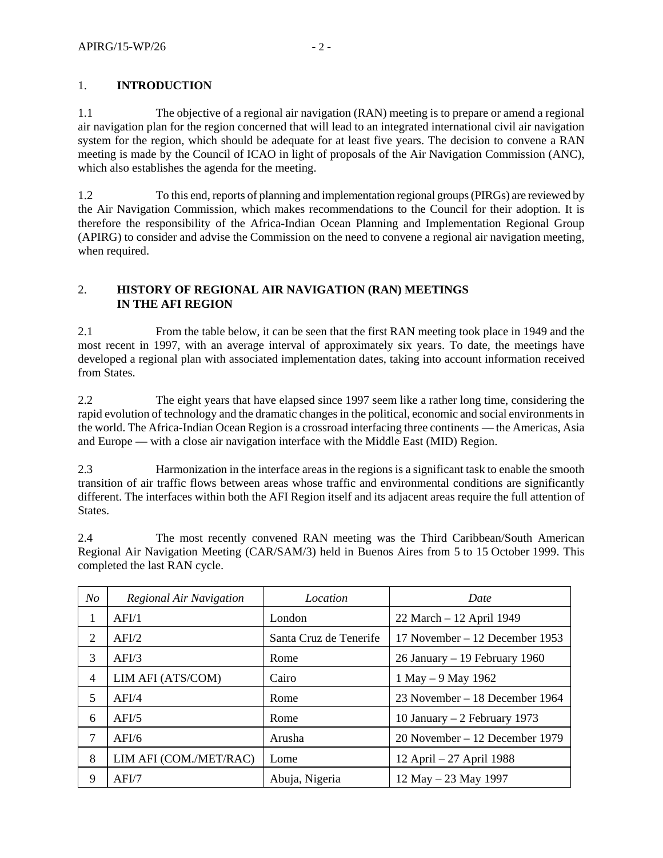# 1. **INTRODUCTION**

1.1 The objective of a regional air navigation (RAN) meeting is to prepare or amend a regional air navigation plan for the region concerned that will lead to an integrated international civil air navigation system for the region, which should be adequate for at least five years. The decision to convene a RAN meeting is made by the Council of ICAO in light of proposals of the Air Navigation Commission (ANC), which also establishes the agenda for the meeting.

1.2 To this end, reports of planning and implementation regional groups (PIRGs) are reviewed by the Air Navigation Commission, which makes recommendations to the Council for their adoption. It is therefore the responsibility of the Africa-Indian Ocean Planning and Implementation Regional Group (APIRG) to consider and advise the Commission on the need to convene a regional air navigation meeting, when required.

## 2. **HISTORY OF REGIONAL AIR NAVIGATION (RAN) MEETINGS IN THE AFI REGION**

2.1 From the table below, it can be seen that the first RAN meeting took place in 1949 and the most recent in 1997, with an average interval of approximately six years. To date, the meetings have developed a regional plan with associated implementation dates, taking into account information received from States.

2.2 The eight years that have elapsed since 1997 seem like a rather long time, considering the rapid evolution of technology and the dramatic changes in the political, economic and social environments in the world. The Africa-Indian Ocean Region is a crossroad interfacing three continents — the Americas, Asia and Europe — with a close air navigation interface with the Middle East (MID) Region.

2.3 Harmonization in the interface areas in the regions is a significant task to enable the smooth transition of air traffic flows between areas whose traffic and environmental conditions are significantly different. The interfaces within both the AFI Region itself and its adjacent areas require the full attention of States.

2.4 The most recently convened RAN meeting was the Third Caribbean/South American Regional Air Navigation Meeting (CAR/SAM/3) held in Buenos Aires from 5 to 15 October 1999. This completed the last RAN cycle.

| N <sub>O</sub> | Regional Air Navigation | Location               | Date                             |
|----------------|-------------------------|------------------------|----------------------------------|
| 1              | AFI/1                   | London                 | 22 March - 12 April 1949         |
| 2              | AFI/2                   | Santa Cruz de Tenerife | 17 November – 12 December 1953   |
| 3              | AFI/3                   | Rome                   | 26 January $-19$ February 1960   |
| $\overline{4}$ | LIM AFI (ATS/COM)       | Cairo                  | 1 May $-9$ May 1962              |
| 5              | AFI/4                   | Rome                   | 23 November – 18 December 1964   |
| 6              | AFI/5                   | Rome                   | 10 January $-2$ February 1973    |
| 7              | AFI/6                   | Arusha                 | $20$ November – 12 December 1979 |
| 8              | LIM AFI (COM./MET/RAC)  | Lome                   | 12 April – 27 April 1988         |
| 9              | AFI/7                   | Abuja, Nigeria         | $12$ May $-23$ May 1997          |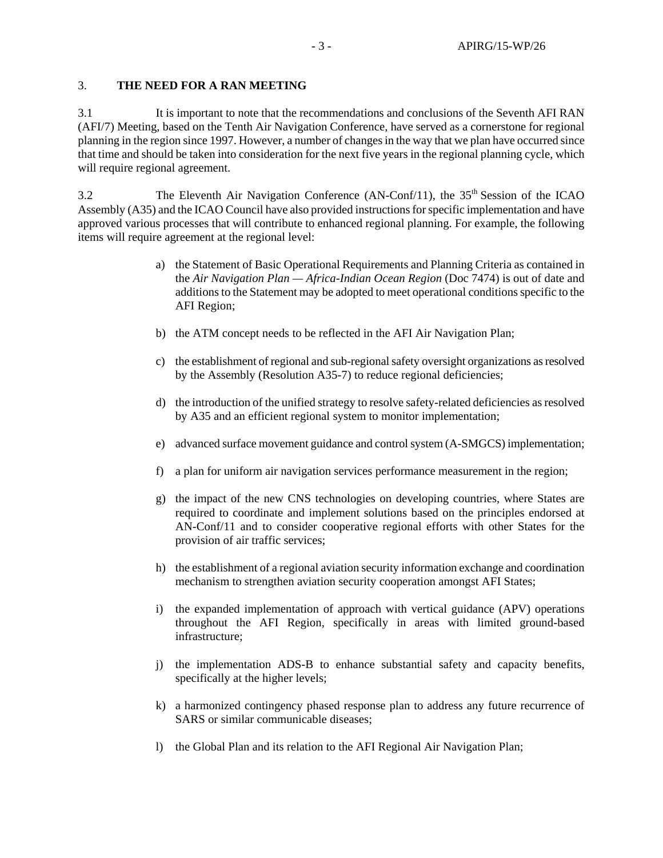#### 3. **THE NEED FOR A RAN MEETING**

3.1 It is important to note that the recommendations and conclusions of the Seventh AFI RAN (AFI/7) Meeting, based on the Tenth Air Navigation Conference, have served as a cornerstone for regional planning in the region since 1997. However, a number of changes in the way that we plan have occurred since that time and should be taken into consideration for the next five years in the regional planning cycle, which will require regional agreement.

3.2 The Eleventh Air Navigation Conference (AN-Conf/11), the 35<sup>th</sup> Session of the ICAO Assembly (A35) and the ICAO Council have also provided instructions for specific implementation and have approved various processes that will contribute to enhanced regional planning. For example, the following items will require agreement at the regional level:

- a) the Statement of Basic Operational Requirements and Planning Criteria as contained in the *Air Navigation Plan — Africa-Indian Ocean Region* (Doc 7474) is out of date and additions to the Statement may be adopted to meet operational conditions specific to the AFI Region;
- b) the ATM concept needs to be reflected in the AFI Air Navigation Plan;
- c) the establishment of regional and sub-regional safety oversight organizations as resolved by the Assembly (Resolution A35-7) to reduce regional deficiencies;
- d) the introduction of the unified strategy to resolve safety-related deficiencies as resolved by A35 and an efficient regional system to monitor implementation;
- e) advanced surface movement guidance and control system (A-SMGCS) implementation;
- f) a plan for uniform air navigation services performance measurement in the region;
- g) the impact of the new CNS technologies on developing countries, where States are required to coordinate and implement solutions based on the principles endorsed at AN-Conf/11 and to consider cooperative regional efforts with other States for the provision of air traffic services;
- h) the establishment of a regional aviation security information exchange and coordination mechanism to strengthen aviation security cooperation amongst AFI States;
- i) the expanded implementation of approach with vertical guidance (APV) operations throughout the AFI Region, specifically in areas with limited ground-based infrastructure;
- j) the implementation ADS-B to enhance substantial safety and capacity benefits, specifically at the higher levels;
- k) a harmonized contingency phased response plan to address any future recurrence of SARS or similar communicable diseases;
- l) the Global Plan and its relation to the AFI Regional Air Navigation Plan;